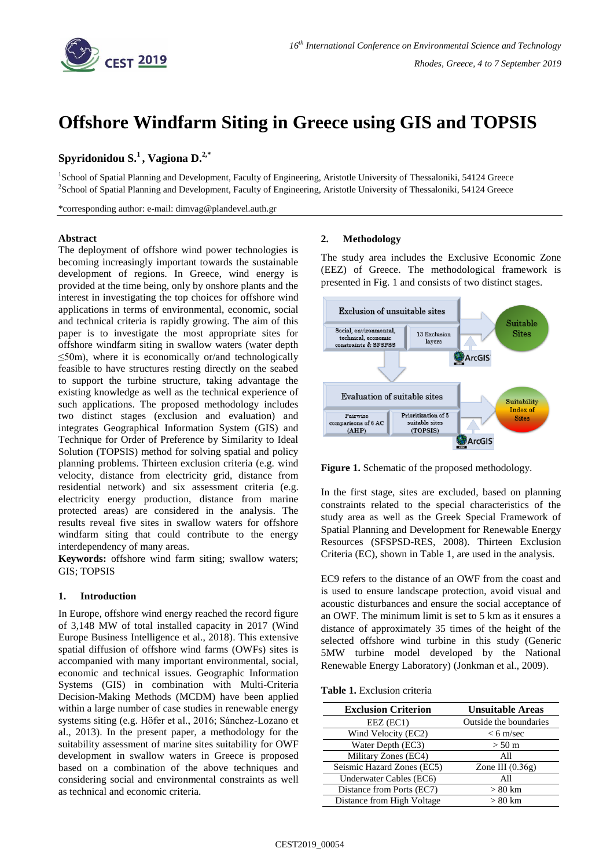

# **Offshore Windfarm Siting in Greece using GIS and TOPSIS**

# **Spyridonidou S. 1 , Vagiona D. 2,\***

<sup>1</sup>School of Spatial Planning and Development, Faculty of Engineering, Aristotle University of Thessaloniki, 54124 Greece <sup>2</sup>School of Spatial Planning and Development, Faculty of Engineering, Aristotle University of Thessaloniki, 54124 Greece

\*corresponding author: e-mail: dimvag@plandevel.auth.gr

#### **Abstract**

The deployment of offshore wind power technologies is becoming increasingly important towards the sustainable development of regions. In Greece, wind energy is provided at the time being, only by onshore plants and the interest in investigating the top choices for offshore wind applications in terms of environmental, economic, social and technical criteria is rapidly growing. The aim of this paper is to investigate the most appropriate sites for offshore windfarm siting in swallow waters (water depth  $\leq$ 50m), where it is economically or/and technologically feasible to have structures resting directly on the seabed to support the turbine structure, taking advantage the existing knowledge as well as the technical experience of such applications. The proposed methodology includes two distinct stages (exclusion and evaluation) and integrates Geographical Information System (GIS) and Technique for Order of Preference by Similarity to Ideal Solution (TOPSIS) method for solving spatial and policy planning problems. Thirteen exclusion criteria (e.g. wind velocity, distance from electricity grid, distance from residential network) and six assessment criteria (e.g. electricity energy production, distance from marine protected areas) are considered in the analysis. The results reveal five sites in swallow waters for offshore windfarm siting that could contribute to the energy interdependency of many areas.

**Keywords:** offshore wind farm siting; swallow waters; GIS; TOPSIS

## **1. Introduction**

In Europe, offshore wind energy reached the record figure of 3,148 MW of total installed capacity in 2017 (Wind Europe Business Intelligence et al., 2018). This extensive spatial diffusion of offshore wind farms (OWFs) sites is accompanied with many important environmental, social, economic and technical issues. Geographic Information Systems (GIS) in combination with Multi-Criteria Decision-Making Methods (MCDM) have been applied within a large number of case studies in renewable energy systems siting (e.g. Höfer et al., 2016; Sánchez-Lozano et al., 2013). In the present paper, a methodology for the suitability assessment of marine sites suitability for OWF development in swallow waters in Greece is proposed based on a combination of the above techniques and considering social and environmental constraints as well as technical and economic criteria.

## **2. Methodology**

The study area includes the Exclusive Economic Zone (EEZ) of Greece. The methodological framework is presented in Fig. 1 and consists of two distinct stages.



**Figure 1.** Schematic of the proposed methodology.

In the first stage, sites are excluded, based on planning constraints related to the special characteristics of the study area as well as the Greek Special Framework of Spatial Planning and Development for Renewable Energy Resources (SFSPSD-RES, 2008). Thirteen Exclusion Criteria (EC), shown in Table 1, are used in the analysis.

EC9 refers to the distance of an OWF from the coast and is used to ensure landscape protection, avoid visual and acoustic disturbances and ensure the social acceptance of an OWF. The minimum limit is set to 5 km as it ensures a distance of approximately 35 times of the height of the selected offshore wind turbine in this study (Generic 5MW turbine model developed by the National Renewable Energy Laboratory) (Jonkman et al., 2009).

|  |  |  | <b>Table 1.</b> Exclusion criteria |  |  |
|--|--|--|------------------------------------|--|--|
|--|--|--|------------------------------------|--|--|

| <b>Exclusion Criterion</b> | <b>Unsuitable Areas</b> |
|----------------------------|-------------------------|
| EEZ (EC1)                  | Outside the boundaries  |
| Wind Velocity (EC2)        | $< 6$ m/sec             |
| Water Depth (EC3)          | $> 50 \text{ m}$        |
| Military Zones (EC4)       | All                     |
| Seismic Hazard Zones (EC5) | Zone III $(0.36g)$      |
| Underwater Cables (EC6)    | All                     |
| Distance from Ports (EC7)  | $> 80$ km               |
| Distance from High Voltage | $> 80$ km               |